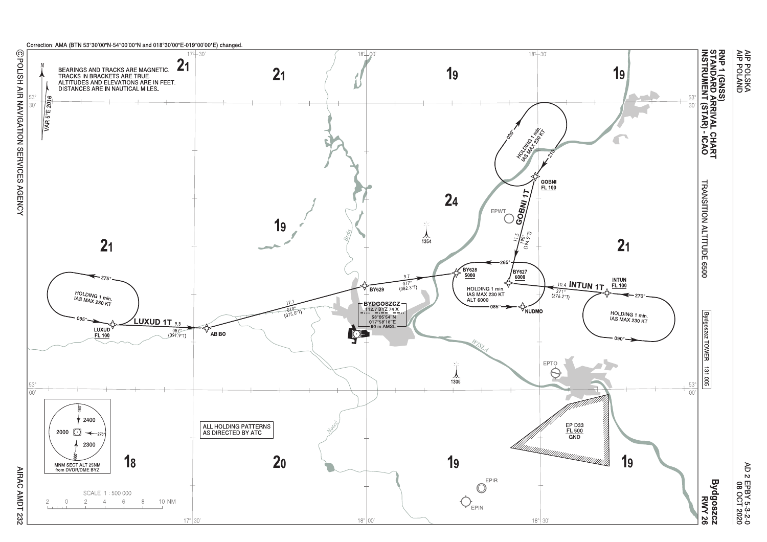